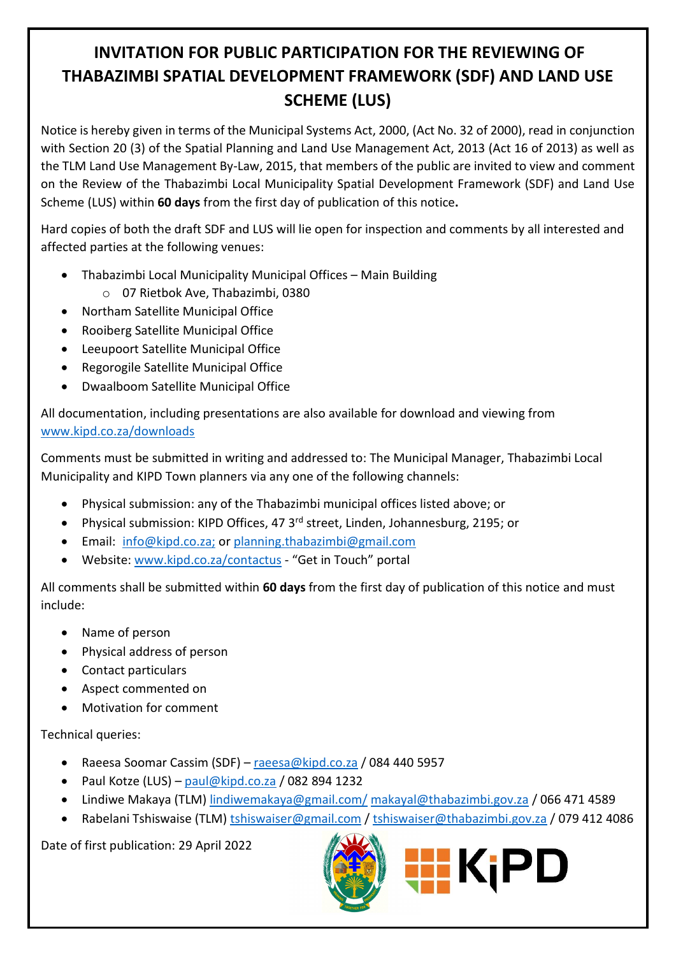## **INVITATION FOR PUBLIC PARTICIPATION FOR THE REVIEWING OF THABAZIMBI SPATIAL DEVELOPMENT FRAMEWORK (SDF) AND LAND USE SCHEME (LUS)**

Notice is hereby given in terms of the Municipal Systems Act, 2000, (Act No. 32 of 2000), read in conjunction with Section 20 (3) of the Spatial Planning and Land Use Management Act, 2013 (Act 16 of 2013) as well as the TLM Land Use Management By-Law, 2015, that members of the public are invited to view and comment on the Review of the Thabazimbi Local Municipality Spatial Development Framework (SDF) and Land Use Scheme (LUS) within **60 days** from the first day of publication of this notice**.**

Hard copies of both the draft SDF and LUS will lie open for inspection and comments by all interested and affected parties at the following venues:

- Thabazimbi Local Municipality Municipal Offices Main Building
	- o 07 Rietbok Ave, Thabazimbi, 0380
- Northam Satellite Municipal Office
- Rooiberg Satellite Municipal Office
- Leeupoort Satellite Municipal Office
- Regorogile Satellite Municipal Office
- Dwaalboom Satellite Municipal Office

All documentation, including presentations are also available for download and viewing from [www.kipd.co.za/downloads](http://www.kipd.co.za/downloads)

Comments must be submitted in writing and addressed to: The Municipal Manager, Thabazimbi Local Municipality and KIPD Town planners via any one of the following channels:

- Physical submission: any of the Thabazimbi municipal offices listed above; or
- Physical submission: KIPD Offices, 47 3<sup>rd</sup> street, Linden, Johannesburg, 2195; or
- Email: [info@kipd.co.za;](mailto:info@kipd.co.za) or [planning.thabazimbi@gmail.com](mailto:planning.thabazimbi@gmail.com)
- Website: [www.kipd.co.za/contactus](http://www.kipd.co.za/contactus) "Get in Touch" portal

All comments shall be submitted within **60 days** from the first day of publication of this notice and must include:

- Name of person
- Physical address of person
- Contact particulars
- Aspect commented on
- Motivation for comment

Technical queries:

- Raeesa Soomar Cassim (SDF) [raeesa@kipd.co.za](mailto:raeesa@kipd.co.za) / 084 440 5957
- Paul Kotze (LUS) [paul@kipd.co.za](mailto:paul@kipd.co.za) / 082 894 1232
- Lindiwe Makaya (TLM[\) lindiwemakaya@gmail.com/](mailto:lindiwemakaya@gmail.com/) [makayal@thabazimbi.gov.za](mailto:makayal@thabazimbi.gov.za) / 066 471 4589
- Rabelani Tshiswaise (TLM[\) tshiswaiser@gmail.com](mailto:tshiswaiser@gmail.com) / [tshiswaiser@thabazimbi.gov.za](mailto:tshiswaiser@thabazimbi.gov.za) / 079 412 4086

Date of first publication: 29 April 2022